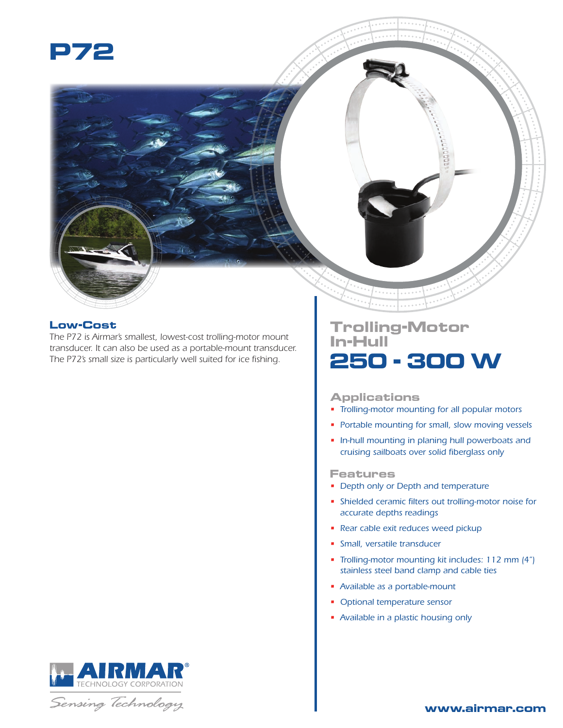

## **Low-Cost**

*The P72 is Airmar's smallest, lowest-cost trolling-motor mount transducer. It can also be used as a portable-mount transducer. The P72's small size is particularly well suited for ice fishing.*

## **Trolling-Motor In-Hull 250 - 300 W**

#### **Applications**

- *Trolling-motor mounting for all popular motors*
- *Portable mounting for small, slow moving vessels*
- *In-hull mounting in planing hull powerboats and cruising sailboats over solid fiberglass only*

#### **Features**

- *Depth only or Depth and temperature*
- *Shielded ceramic filters out trolling-motor noise for accurate depths readings*
- *Rear cable exit reduces weed pickup*
- *Small, versatile transducer*
- *Trolling-motor mounting kit includes: 112 mm (4") stainless steel band clamp and cable ties*
- *Available as a portable-mount*
- *Optional temperature sensor*
- *Available in a plastic housing only*





### **www.airmar.com**